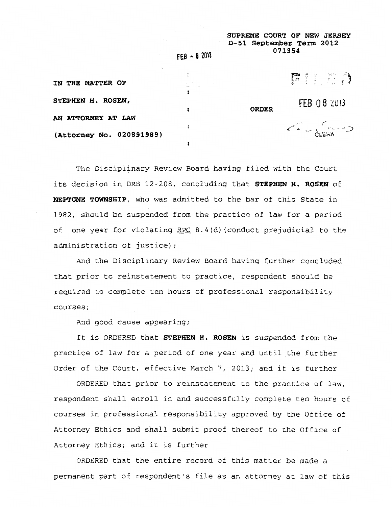**SUPREME COURT OF NEW JERSEY D-51 September Term 2012 071954** 

 $FEB - 82013$ 

| IN THE MATTER OF         |  |              | 医第二分                                                                 |
|--------------------------|--|--------------|----------------------------------------------------------------------|
|                          |  |              |                                                                      |
| STEPHEN H. ROSEN,        |  |              | FEB 08 2013                                                          |
| AN ATTORNEY AT LAW       |  | <b>ORDER</b> |                                                                      |
|                          |  |              | $\left(\begin{array}{c} 1 & 1 \\ 0 & \frac{1}{C} \end{array}\right)$ |
| (Attorney No. 020891989) |  |              |                                                                      |
|                          |  |              |                                                                      |

The Disciplinary Review Board having filed with the Court its decision in DRB 12-208, concluding that **STEPHEN H. ROSEN** of **NEPTUNE TOWNSHIP,** who was admitted to the bar of this State in 1982, should be suspended from the practice of law for a period of one year for violating RPC 8.4(d) (conduct prejudicial to the administration of justice);

And the Disciplinary Review Board having further concluded that prior to reinstatement to practice, respondent should be required to complete ten hours of professional responsibility courses;

And good cause appearing;

It is ORDERED that **STEPHEN H. ROSEN** is suspended from the practice of law for a period of one year and until the further Order of the Court, effective March 7, 2013; and it is further

ORDERED that prior to reinstatement to the practice of law, respondent shall enroll in and successfully complete ten hours of courses in professional responsibility approved by the Office of Attorney Ethics and shall submit proof thereof to the Office of Attorney Ethics; and it is further

ORDERED that the entire record of this matter be made a permanent part of respondent's file as an attorney at law of this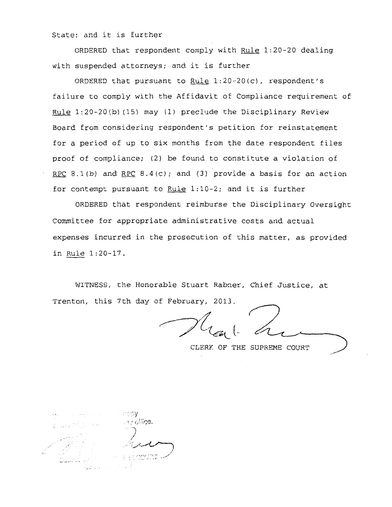State; and it is further

ORDERED that respondent comply with Rule 1:20-20 dealing with suspended attorneys; and it is further

ORDERED that pursuant to Rule 1:20-20(c), respondent's failure to comply with the Affidavit of Compliance requirement of Rule 1:20-20(b)(15) may (1) preclude the Disciplinary Review Board from considering respondent's petition for reinstatement for a period of up to six months from the date respondent files proof of compliance; (2) be found to constitute a violation of RPC 8.1(b) and RPC 8.4(c); and (3) provide a basis for an action for contempt pursuant to Rule 1:10-2; and it is further

ORDERED that respondent reimburse the Disciplinary Oversight Committee for appropriate administrative costs and actual expenses incurred in the prosecution of this matter, as provided in Rule 1:20-17.

WITNESS, the Honorable Stuart Rabner, Chief Justice, at Trenton, this 7th day of February, 2013.

CLERK OF THE SUPREME COURT

thy ofä**ce.** الركاف وعين و ./' 13.